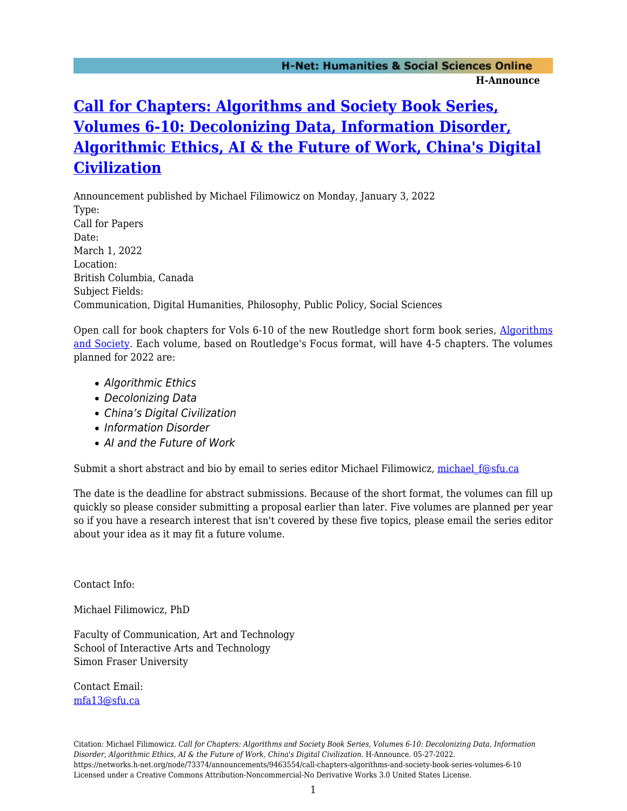## **[Call for Chapters: Algorithms and Society Book Series,](https://networks.h-net.org/node/73374/announcements/9463554/call-chapters-algorithms-and-society-book-series-volumes-6-10) [Volumes 6-10: Decolonizing Data, Information Disorder,](https://networks.h-net.org/node/73374/announcements/9463554/call-chapters-algorithms-and-society-book-series-volumes-6-10) [Algorithmic Ethics, AI & the Future of Work, China's Digital](https://networks.h-net.org/node/73374/announcements/9463554/call-chapters-algorithms-and-society-book-series-volumes-6-10) [Civilization](https://networks.h-net.org/node/73374/announcements/9463554/call-chapters-algorithms-and-society-book-series-volumes-6-10)**

Announcement published by Michael Filimowicz on Monday, January 3, 2022 Type: Call for Papers Date: March 1, 2022 Location: British Columbia, Canada Subject Fields: Communication, Digital Humanities, Philosophy, Public Policy, Social Sciences

Open call for book chapters for Vols 6-10 of the new Routledge short form book series, [Algorithms](http://www.routledge.com/Algorithms%20and%20Society/book-series/ALGRAS) [and Society.](http://www.routledge.com/Algorithms%20and%20Society/book-series/ALGRAS) Each volume, based on Routledge's Focus format, will have 4-5 chapters. The volumes planned for 2022 are:

- Algorithmic Ethics
- Decolonizing Data
- China's Digital Civilization
- Information Disorder
- AI and the Future of Work

Submit a short abstract and bio by email to series editor Michael Filimowicz, michael f@sfu.ca

The date is the deadline for abstract submissions. Because of the short format, the volumes can fill up quickly so please consider submitting a proposal earlier than later. Five volumes are planned per year so if you have a research interest that isn't covered by these five topics, please email the series editor about your idea as it may fit a future volume.

Contact Info:

Michael Filimowicz, PhD

Faculty of Communication, Art and Technology School of Interactive Arts and Technology Simon Fraser University

Contact Email: [mfa13@sfu.ca](mailto:mfa13@sfu.ca)